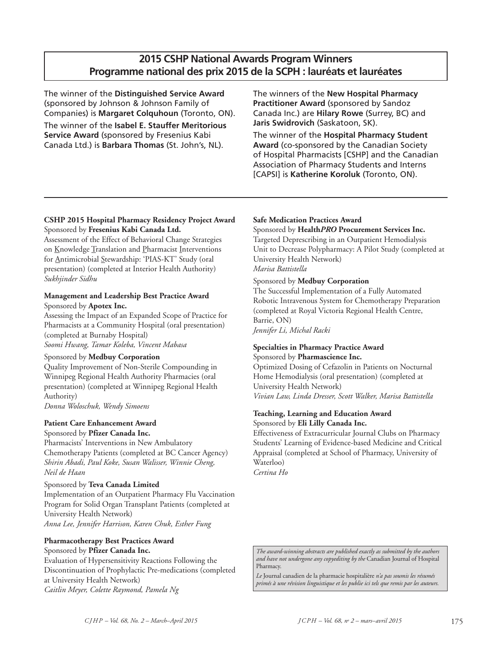# **2015 CSHP National Awards Program Winners Programme national des prix 2015 de la SCPH : lauréats et lauréates**

The winner of the **Distinguished Service Award** (sponsored by Johnson & Johnson Family of Companies) is **Margaret Colquhoun** (Toronto, ON). The winner of the **Isabel E. Stauffer Meritorious Service Award** (sponsored by Fresenius Kabi Canada Ltd.) is **Barbara Thomas** (St. John's, NL).

The winners of the **New Hospital Pharmacy Practitioner Award** (sponsored by Sandoz Canada Inc.) are **Hilary Rowe** (Surrey, BC) and **Jaris Swidrovich** (Saskatoon, SK).

The winner of the **Hospital Pharmacy Student Award** (co-sponsored by the Canadian Society of Hospital Pharmacists [CSHP] and the Canadian Association of Pharmacy Students and Interns [CAPSI] is **Katherine Koroluk** (Toronto, ON).

# **CSHP 2015 Hospital Pharmacy Residency Project Award** Sponsored by **Fresenius Kabi Canada Ltd.**

Assessment of the Effect of Behavioral Change Strategies on Knowledge Translation and Pharmacist Interventions for Antimicrobial Stewardship: 'PIAS-KT' Study (oral presentation) (completed at Interior Health Authority) *Sukhjinder Sidhu*

# **Management and Leadership Best Practice Award** Sponsored by **Apotex Inc.**

Assessing the Impact of an Expanded Scope of Practice for Pharmacists at a Community Hospital (oral presentation) (completed at Burnaby Hospital) *Soomi Hwang, Tamar Koleba, Vincent Mabasa*

# Sponsored by **Medbuy Corporation**

Quality Improvement of Non-Sterile Compounding in Winnipeg Regional Health Authority Pharmacies (oral presentation) (completed at Winnipeg Regional Health Authority)

*Donna Woloschuk, Wendy Simoens*

# **Patient Care Enhancement Award**

Sponsored by **Pfizer Canada Inc.**

Pharmacists' Interventions in New Ambulatory Chemotherapy Patients (completed at BC Cancer Agency) *Shirin Abadi, Paul Koke, Susan Walisser, Winnie Cheng, Neil de Haan*

# Sponsored by **Teva Canada Limited**

Implementation of an Outpatient Pharmacy Flu Vaccination Program for Solid Organ Transplant Patients (completed at University Health Network) *Anna Lee, Jennifer Harrison, Karen Chuk, Esther Fung*

# **Pharmacotherapy Best Practices Award** Sponsored by **Pfizer Canada Inc.**

Evaluation of Hypersensitivity Reactions Following the Discontinuation of Prophylactic Pre-medications (completed at University Health Network) *Caitlin Meyer, Colette Raymond, Pamela Ng*

# **Safe Medication Practices Award**

Sponsored by **Health***PRO* **Procurement Services Inc.** Targeted Deprescribing in an Outpatient Hemodialysis Unit to Decrease Polypharmacy: A Pilot Study (completed at University Health Network) *Marisa Battistella*

# Sponsored by **Medbuy Corporation**

The Successful Implementation of a Fully Automated Robotic Intravenous System for Chemotherapy Preparation (completed at Royal Victoria Regional Health Centre, Barrie, ON)

*Jennifer Li, Michal Racki*

## **Specialties in Pharmacy Practice Award** Sponsored by **Pharmascience Inc.**

Optimized Dosing of Cefazolin in Patients on Nocturnal Home Hemodialysis (oral presentation) (completed at University Health Network) *Vivian Law, Linda Dresser, Scott Walker, Marisa Battistella*

# **Teaching, Learning and Education Award** Sponsored by **Eli Lilly Canada Inc.**

Effectiveness of Extracurricular Journal Clubs on Pharmacy Students' Learning of Evidence-based Medicine and Critical Appraisal (completed at School of Pharmacy, University of Waterloo) *Certina Ho*

*The award-winning abstracts are published exactly as submitted by the authors and have not undergone any copyediting by the* Canadian Journal of Hospital Pharmacy.

*Le* Journal canadien de la pharmacie hospitalière *n'a pas soumis les résumés primés à une révision linguistique et les publie ici tels que remis par les auteurs.*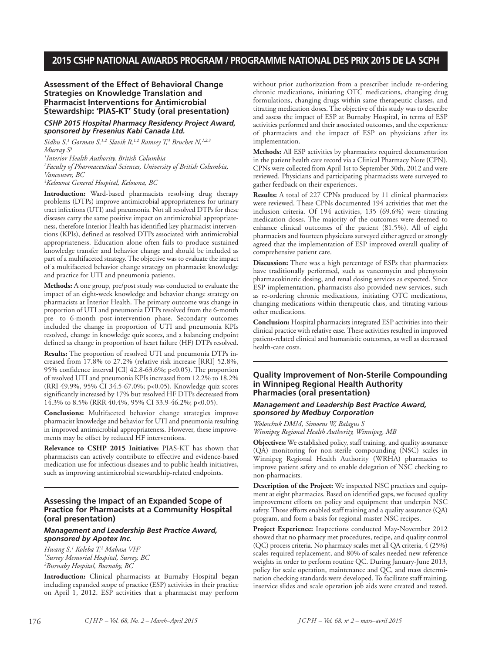### **Assessment of the Effect of Behavioral Change Strategies on Knowledge Translation and Pharmacist Interventions for Antimicrobial Stewardship: 'PIAS-KT' Study (oral presentation)**

#### *CSHP 2015 Hospital Pharmacy Residency Project Award, sponsored by Fresenius Kabi Canada Ltd.*

*Sidhu S, <sup>1</sup> Gorman S, 1,2 Slavik R, 1,2 Ramsey T, <sup>3</sup> Bruchet N, 1,2,3 Murray S3*

 *Interior Health Authority, British Columbia Faculty of Pharmaceutical Sciences, University of British Columbia, Vancouver, BC Kelowna General Hospital, Kelowna, BC*

**Introduction:** Ward-based pharmacists resolving drug therapy problems (DTPs) improve antimicrobial appropriateness for urinary tract infections (UTI) and pneumonia. Not all resolved DTPs for these diseases carry the same positive impact on antimicrobial appropriateness, therefore Interior Health has identified key pharmacist interventions (KPIs), defined as resolved DTPs associated with antimicrobial appropriateness. Education alone often fails to produce sustained knowledge transfer and behavior change and should be included as part of a multifaceted strategy.The objective was to evaluate the impact of a multifaceted behavior change strategy on pharmacist knowledge and practice for UTI and pneumonia patients.

**Methods:** A one group, pre/post study was conducted to evaluate the impact of an eight-week knowledge and behavior change strategy on pharmacists at Interior Health. The primary outcome was change in proportion of UTI and pneumonia DTPs resolved from the 6-month pre- to 6-month post-intervention phase. Secondary outcomes included the change in proportion of UTI and pneumonia KPIs resolved, change in knowledge quiz scores, and a balancing endpoint defined as change in proportion of heart failure (HF) DTPs resolved.

**Results:** The proportion of resolved UTI and pneumonia DTPs increased from 17.8% to 27.2% (relative risk increase [RRI] 52.8%, 95% confidence interval [CI] 42.8-63.6%; p<0.05). The proportion of resolved UTI and pneumonia KPIs increased from 12.2% to 18.2% (RRI 49.9%, 95% CI 34.5-67.0%; p<0.05). Knowledge quiz scores significantly increased by 17% but resolved HF DTPs decreased from 14.3% to 8.5% (RRR 40.4%, 95% CI 33.9-46.2%; p<0.05).

**Conclusions:** Multifaceted behavior change strategies improve pharmacist knowledge and behavior for UTI and pneumonia resulting in improved antimicrobial appropriateness. However, these improvements may be offset by reduced HF interventions.

**Relevance to CSHP 2015 Initiative:** PIAS-KT has shown that pharmacists can actively contribute to effective and evidence-based medication use for infectious diseases and to public health initiatives, such as improving antimicrobial stewardship-related endpoints.

## **Assessing the Impact of an Expanded Scope of Practice for Pharmacists at a Community Hospital (oral presentation)**

#### *Management and Leadership Best Practice Award, sponsored by Apotex Inc.*

*Hwang S, <sup>1</sup> Koleba T, <sup>2</sup> Mabasa VH2 1 Surrey Memorial Hospital, Surrey, BC 2 Burnaby Hospital, Burnaby, BC*

**Introduction:** Clinical pharmacists at Burnaby Hospital began including expanded scope of practice (ESP) activities in their practice on April 1, 2012. ESP activities that a pharmacist may perform without prior authorization from a prescriber include re-ordering chronic medications, initiating OTC medications, changing drug formulations, changing drugs within same therapeutic classes, and titrating medication doses. The objective of this study was to describe and assess the impact of ESP at Burnaby Hospital, in terms of ESP activities performed and their associated outcomes, and the experience of pharmacists and the impact of ESP on physicians after its implementation.

**Methods:** All ESP activities by pharmacists required documentation in the patient health care record via a Clinical Pharmacy Note (CPN). CPNs were collected from April 1st to September 30th, 2012 and were reviewed. Physicians and participating pharmacists were surveyed to gather feedback on their experiences.

**Results:** A total of 227 CPNs produced by 11 clinical pharmacists were reviewed. These CPNs documented 194 activities that met the inclusion criteria. Of 194 activities, 135 (69.6%) were titrating medication doses. The majority of the outcomes were deemed to enhance clinical outcomes of the patient (81.5%). All of eight pharmacists and fourteen physicians surveyed either agreed or strongly agreed that the implementation of ESP improved overall quality of comprehensive patient care.

**Discussion:** There was a high percentage of ESPs that pharmacists have traditionally performed, such as vancomycin and phenytoin pharmacokinetic dosing, and renal dosing services as expected. Since ESP implementation, pharmacists also provided new services, such as re-ordering chronic medications, initiating OTC medications, changing medications within therapeutic class, and titrating various other medications.

**Conclusion:** Hospital pharmacists integrated ESP activities into their clinical practice with relative ease.These activities resulted in improved patient-related clinical and humanistic outcomes, as well as decreased health-care costs.

### **Quality Improvement of Non-Sterile Compounding in Winnipeg Regional Health Authority Pharmacies (oral presentation)**

#### *Management and Leadership Best Practice Award, sponsored by Medbuy Corporation*

*Woloschuk DMM, Simoens W, Balagus S Winnipeg Regional Health Authority, Winnipeg, MB*

**Objectives:** We established policy, staff training, and quality assurance (QA) monitoring for non-sterile compounding (NSC) scales in Winnipeg Regional Health Authority (WRHA) pharmacies to improve patient safety and to enable delegation of NSC checking to non-pharmacists.

**Description of the Project:** We inspected NSC practices and equipment at eight pharmacies. Based on identified gaps, we focused quality improvement efforts on policy and equipment that underpin NSC safety.Those efforts enabled staff training and a quality assurance (QA) program, and form a basis for regional master NSC recipes.

**Project Experience:** Inspections conducted May-November 2012 showed that no pharmacy met procedures, recipe, and quality control (QC) process criteria. No pharmacy scales met all QA criteria, 4 (25%) scales required replacement, and 80% of scales needed new reference weights in order to perform routine QC. During January-June 2013, policy for scale operation, maintenance and QC, and mass determination checking standards were developed. To facilitate staff training, inservice slides and scale operation job aids were created and tested.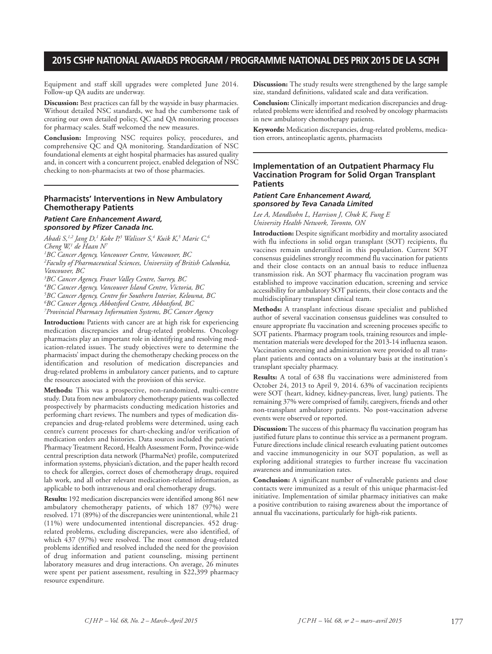Equipment and staff skill upgrades were completed June 2014. Follow-up QA audits are underway.

**Discussion:** Best practices can fall by the wayside in busy pharmacies. Without detailed NSC standards, we had the cumbersome task of creating our own detailed policy, QC and QA monitoring processes for pharmacy scales. Staff welcomed the new measures.

**Conclusion:** Improving NSC requires policy, procedures, and comprehensive QC and QA monitoring. Standardization of NSC foundational elements at eight hospital pharmacies has assured quality and, in concert with a concurrent project, enabled delegation of NSC checking to non-pharmacists at two of those pharmacies.

# **Pharmacists' Interventions in New Ambulatory Chemotherapy Patients**

#### *Patient Care Enhancement Award, sponsored by Pfizer Canada Inc.*

*Abadi S, 1,2 Jang D, <sup>1</sup> Koke P, <sup>3</sup> Walisser S, <sup>4</sup> Kuik K, <sup>5</sup> Maric C, 6 Cheng W, <sup>1</sup> de Haan N7*

*1 BC Cancer Agency, Vancouver Centre, Vancouver, BC 2 Faculty of Pharmaceutical Sciences, Universiity of British Columbia, Vancouver, BC*

 *BC Cancer Agency, Fraser Valley Centre, Surrey, BC BC Cancer Agency, Vancouver Island Centre, Victoria, BC BC Cancer Agency, Centre for Southern Interior, Kelowna, BC BC Cancer Agency, Abbotsford Centre, Abbotsford, BC Provincial Pharmacy Information Systems, BC Cancer Agency*

**Introduction:** Patients with cancer are at high risk for experiencing medication discrepancies and drug-related problems. Oncology pharmacists play an important role in identifying and resolving medication-related issues. The study objectives were to determine the pharmacists' impact during the chemotherapy checking process on the identification and resolution of medication discrepancies and drug-related problems in ambulatory cancer patients, and to capture the resources associated with the provision of this service.

**Methods:** This was a prospective, non-randomized, multi-centre study. Data from new ambulatory chemotherapy patients was collected prospectively by pharmacists conducting medication histories and performing chart reviews. The numbers and types of medication discrepancies and drug-related problems were determined, using each centre's current processes for chart-checking and/or verification of medication orders and histories. Data sources included the patient's PharmacyTreatment Record, Health Assessment Form, Province-wide central prescription data network (PharmaNet) profile, computerized information systems, physician's dictation, and the paper health record to check for allergies, correct doses of chemotherapy drugs, required lab work, and all other relevant medication-related information, as applicable to both intravenous and oral chemotherapy drugs.

**Results:** 192 medication discrepancies were identified among 861 new ambulatory chemotherapy patients, of which 187 (97%) were resolved. 171 (89%) of the discrepancies were unintentional, while 21 (11%) were undocumented intentional discrepancies. 452 drugrelated problems, excluding discrepancies, were also identified, of which 437 (97%) were resolved. The most common drug-related problems identified and resolved included the need for the provision of drug information and patient counseling, missing pertinent laboratory measures and drug interactions. On average, 26 minutes were spent per patient assessment, resulting in \$22,399 pharmacy resource expenditure.

**Discussion:** The study results were strengthened by the large sample size, standard definitions, validated scale and data verification.

**Conclusion:** Clinically important medication discrepancies and drugrelated problems were identified and resolved by oncology pharmacists in new ambulatory chemotherapy patients.

**Keywords:** Medication discrepancies, drug-related problems, medication errors, antineoplastic agents, pharmacists

### **Implementation of an Outpatient Pharmacy Flu Vaccination Program for Solid Organ Transplant Patients**

#### *Patient Care Enhancement Award, sponsored by Teva Canada Limited*

*Lee A, Mandlsohn L, Harrison J, Chuk K, Fung E University Health Network, Toronto, ON*

**Introduction:** Despite significant morbidity and mortality associated with flu infections in solid organ transplant (SOT) recipients, flu vaccines remain underutilized in this population. Current SOT consensus guidelines strongly recommend flu vaccination for patients and their close contacts on an annual basis to reduce influenza transmission risk. An SOT pharmacy flu vaccination program was established to improve vaccination education, screening and service accessibility for ambulatory SOT patients, their close contacts and the multidisciplinary transplant clinical team.

**Methods:** A transplant infectious disease specialist and published author of several vaccination consensus guidelines was consulted to ensure appropriate flu vaccination and screening processes specific to SOT patients. Pharmacy program tools, training resources and implementation materials were developed for the 2013-14 influenza season. Vaccination screening and administration were provided to all transplant patients and contacts on a voluntary basis at the institution's transplant specialty pharmacy.

**Results:** A total of 638 flu vaccinations were administered from October 24, 2013 to April 9, 2014. 63% of vaccination recipients were SOT (heart, kidney, kidney-pancreas, liver, lung) patients. The remaining 37% were comprised of family, caregivers, friends and other non-transplant ambulatory patients. No post-vaccination adverse events were observed or reported.

**Discussion:**The success of this pharmacy flu vaccination program has justified future plans to continue this service as a permanent program. Future directions include clinical research evaluating patient outcomes and vaccine immunogenicity in our SOT population, as well as exploring additional strategies to further increase flu vaccination awareness and immunization rates.

**Conclusion:** A significant number of vulnerable patients and close contacts were immunized as a result of this unique pharmacist-led initiative. Implementation of similar pharmacy initiatives can make a positive contribution to raising awareness about the importance of annual flu vaccinations, particularly for high-risk patients.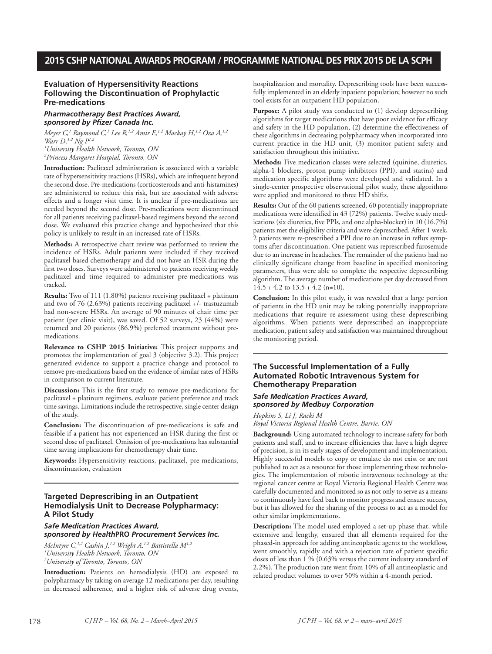# **Evaluation of Hypersensitivity Reactions Following the Discontinuation of Prophylactic Pre-medications**

### *Pharmacotherapy Best Practices Award, sponsored by Pfizer Canada Inc.*

*Meyer C, <sup>1</sup> Raymond C, <sup>1</sup> Lee R, 1,2 Amir E, 1,2 Mackay H, 1,2 Oza A, 1,2 Warr D, 1,2 Ng P1,2*

*1 University Health Network, Toronto, ON 2 Princess Margaret Hostpial, Toronto, ON*

**Introduction:** Paclitaxel administration is associated with a variable rate of hypersensitivity reactions (HSRs), which are infrequent beyond the second dose. Pre-medications (corticosteroids and anti-histamines) are administered to reduce this risk, but are associated with adverse effects and a longer visit time. It is unclear if pre-medications are needed beyond the second dose. Pre-medications were discontinued for all patients receiving paclitaxel-based regimens beyond the second dose. We evaluated this practice change and hypothesized that this policy is unlikely to result in an increased rate of HSRs.

**Methods:** A retrospective chart review was performed to review the incidence of HSRs. Adult patients were included if they received paclitaxel-based chemotherapy and did not have an HSR during the first two doses. Surveys were administered to patients receiving weekly paclitaxel and time required to administer pre-medications was tracked.

**Results:** Two of 111 (1.80%) patients receiving paclitaxel + platinum and two of 76 (2.63%) patients receiving paclitaxel +/- trastuzumab had non-severe HSRs. An average of 90 minutes of chair time per patient (per clinic visit), was saved. Of 52 surveys, 23 (44%) were returned and 20 patients (86.9%) preferred treatment without premedications.

**Relevance to CSHP 2015 Initiative:** This project supports and promotes the implementation of goal 3 (objective 3.2). This project generated evidence to support a practice change and protocol to remove pre-medications based on the evidence of similar rates of HSRs in comparison to current literature.

**Discussion:** This is the first study to remove pre-medications for paclitaxel + platinum regimens, evaluate patient preference and track time savings. Limitations include the retrospective, single center design of the study.

**Conclusion:** The discontinuation of pre-medications is safe and feasible if a patient has not experienced an HSR during the first or second dose of paclitaxel. Omission of pre-medications has substantial time saving implications for chemotherapy chair time.

**Keywords:** Hypersensitivity reactions, paclitaxel, pre-medications, discontinuation, evaluation

### **Targeted Deprescribing in an Outpatient Hemodialysis Unit to Decrease Polypharmacy: A Pilot Study**

# *Safe Medication Practices Award, sponsored by Health***PRO** *Procurement Services Inc.*

*McIntyre C, 1,2 Cashin J, 1,2 Wright A, 1,2 Battistella M1,2 1 University Health Network, Toronto, ON 2 University of Toronto, Toronto, ON*

**Introduction:** Patients on hemodialysis (HD) are exposed to polypharmacy by taking on average 12 medications per day, resulting in decreased adherence, and a higher risk of adverse drug events, hospitalization and mortality. Deprescribing tools have been successfully implemented in an elderly inpatient population; however no such tool exists for an outpatient HD population.

**Purpose:** A pilot study was conducted to (1) develop deprescribing algorithms for target medications that have poor evidence for efficacy and safety in the HD population, (2) determine the effectiveness of these algorithms in decreasing polypharmacy when incorporated into current practice in the HD unit, (3) monitor patient safety and satisfaction throughout this initiative.

**Methods:** Five medication classes were selected (quinine, diuretics, alpha-1 blockers, proton pump inhibitors (PPI), and statins) and medication specific algorithms were developed and validated. In a single-center prospective observational pilot study, these algorithms were applied and monitored to three HD shifts.

**Results:** Out of the 60 patients screened, 60 potentially inappropriate medications were identified in 43 (72%) patients. Twelve study medications (six diuretics, five PPIs, and one alpha-blocker) in 10 (16.7%) patients met the eligibility criteria and were deprescribed. After 1 week, 2 patients were re-prescribed a PPI due to an increase in reflux symptoms after discontinuation. One patient was represcribed furosemide due to an increase in headaches. The remainder of the patients had no clinically significant change from baseline in specified monitoring parameters, thus were able to complete the respective deprescribing algorithm.The average number of medications per day decreased from  $14.5 + 4.2$  to  $13.5 + 4.2$  (n=10).

**Conclusion:** In this pilot study, it was revealed that a large portion of patients in the HD unit may be taking potentially inappropriate medications that require re-assessment using these deprescribing algorithms. When patients were deprescribed an inappropriate medication, patient safety and satisfaction was maintained throughout the monitoring period.

#### **The Successful Implementation of a Fully Automated Robotic Intravenous System for Chemotherapy Preparation**

#### *Safe Medication Practices Award, sponsored by Medbuy Corporation*

*Hopkins S, Li J, Racki M*

*Royal Victoria Regional Health Centre, Barrie, ON*

**Background:** Using automated technology to increase safety for both patients and staff, and to increase efficiencies that have a high degree of precision, is in its early stages of development and implementation. Highly successful models to copy or emulate do not exist or are not published to act as a resource for those implementing these technologies. The implementation of robotic intravenous technology at the regional cancer centre at Royal Victoria Regional Health Centre was carefully documented and monitored so as not only to serve as a means to continuously have feed back to monitor progress and ensure success, but it has allowed for the sharing of the process to act as a model for other similar implementations.

**Description:** The model used employed a set-up phase that, while extensive and lengthy, ensured that all elements required for the phased-in approach for adding antineoplastic agents to the workflow, went smoothly, rapidly and with a rejection rate of patient specific doses of less than 1 % (0.63% versus the current industry standard of 2.2%). The production rate went from 10% of all antineoplastic and related product volumes to over 50% within a 4-month period.